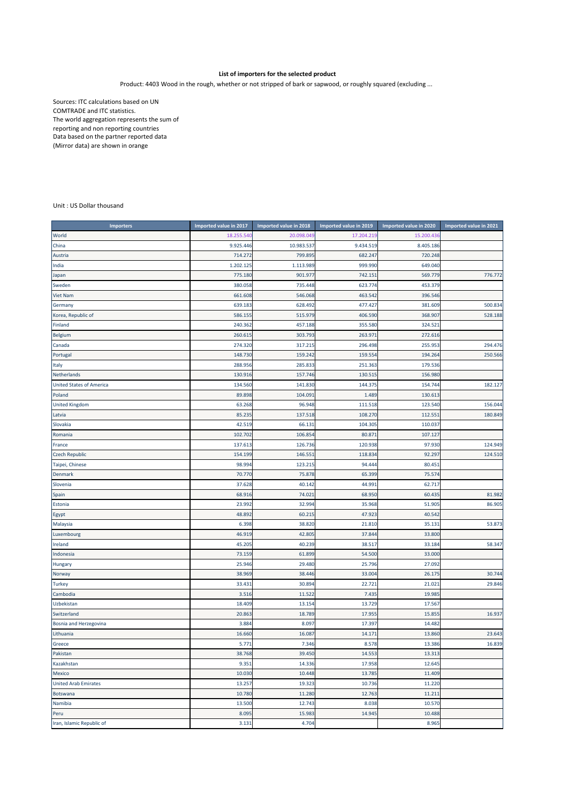## **List of importers for the selected product**

Product: 4403 Wood in the rough, whether or not stripped of bark or sapwood, or roughly squared (excluding ...

Sources: ITC calculations based on UN COMTRADE and ITC statistics. The world aggregation represents the sum of reporting and non reporting countries Data based on the partner reported data (Mirror data) are shown in orange

## Unit : US Dollar thousand

| <b>Importers</b>                | Imported value in 2017 | Imported value in 2018 | Imported value in 2019 | Imported value in 2020 | Imported value in 2021 |
|---------------------------------|------------------------|------------------------|------------------------|------------------------|------------------------|
| World                           | 18.255.540             | 20.098.049             | 17.204.219             | 15.200.43              |                        |
| China                           | 9.925.446              | 10.983.537             | 9.434.519              | 8.405.186              |                        |
| Austria                         | 714.272                | 799.895                | 682.247                | 720.248                |                        |
| India                           | 1.202.125              | 1.113.989              | 999.990                | 649.040                |                        |
| Japan                           | 775.180                | 901.977                | 742.151                | 569.779                | 776.772                |
| Sweden                          | 380.058                | 735.448                | 623.774                | 453.379                |                        |
| <b>Viet Nam</b>                 | 661.608                | 546.068                | 463.542                | 396.546                |                        |
| Germany                         | 639.183                | 628.492                | 477.427                | 381.609                | 500.834                |
| Korea, Republic of              | 586.155                | 515.979                | 406.590                | 368.907                | 528.188                |
| Finland                         | 240.362                | 457.188                | 355.580                | 324.52                 |                        |
| Belgium                         | 260.615                | 303.793                | 263.971                | 272.616                |                        |
| Canada                          | 274.320                | 317.215                | 296.498                | 255.953                | 294.476                |
| Portugal                        | 148.730                | 159.242                | 159.554                | 194.264                | 250.566                |
| Italy                           | 288.956                | 285.833                | 251.363                | 179.536                |                        |
| Netherlands                     | 130.916                | 157.746                | 130.515                | 156.980                |                        |
| <b>United States of America</b> | 134.560                | 141.830                | 144.375                | 154.744                | 182.127                |
| Poland                          | 89.898                 | 104.091                | 1.489                  | 130.613                |                        |
| <b>United Kingdom</b>           | 63.268                 | 96.948                 | 111.518                | 123.540                | 156.044                |
| Latvia                          | 85.235                 | 137.518                | 108.270                | 112.55                 | 180.849                |
| Slovakia                        | 42.519                 | 66.131                 | 104.305                | 110.03                 |                        |
| Romania                         | 102.702                | 106.854                | 80.871                 | 107.127                |                        |
| France                          | 137.613                | 126.736                | 120.938                | 97.930                 | 124.949                |
| <b>Czech Republic</b>           | 154.199                | 146.551                | 118.834                | 92.297                 | 124.510                |
| Taipei, Chinese                 | 98.994                 | 123.215                | 94.444                 | 80.45                  |                        |
| Denmark                         | 70.770                 | 75.878                 | 65.399                 | 75.574                 |                        |
| Slovenia                        | 37.628                 | 40.142                 | 44.991                 | 62.717                 |                        |
| Spain                           | 68.916                 | 74.021                 | 68.950                 | 60.435                 | 81.982                 |
| Estonia                         | 23.992                 | 32.994                 | 35.968                 | 51.90                  | 86.905                 |
| Egypt                           | 48.892                 | 60.215                 | 47.923                 | 40.542                 |                        |
| Malaysia                        | 6.398                  | 38.820                 | 21.810                 | 35.13:                 | 53.873                 |
| Luxembourg                      | 46.919                 | 42.805                 | 37.844                 | 33.800                 |                        |
| Ireland                         | 45.20                  | 40.239                 | 38.517                 | 33.184                 | 58.347                 |
| Indonesia                       | 73.159                 | 61.899                 | 54.500                 | 33.000                 |                        |
| Hungary                         | 25.946                 | 29.480                 | 25.796                 | 27.092                 |                        |
| Norway                          | 38.969                 | 38.446                 | 33.004                 | 26.17                  | 30.744                 |
| <b>Turkey</b>                   | 33.43:                 | 30.894                 | 22.721                 | 21.02:                 | 29.846                 |
| Cambodia                        | 3.516                  | 11.522                 | 7.435                  | 19.985                 |                        |
| Uzbekistan                      | 18.409                 | 13.154                 | 13.729                 | 17.567                 |                        |
| Switzerland                     | 20.863                 | 18.789                 | 17.955                 | 15.85                  | 16.937                 |
| Bosnia and Herzegovina          | 3.884                  | 8.097                  | 17.397                 | 14.482                 |                        |
| Lithuania                       | 16.660                 | 16.087                 | 14.171                 | 13.860                 | 23.643                 |
| Greece                          | 5.771                  | 7.346                  | 8.578                  | 13.386                 | 16.839                 |
| Pakistan                        | 38.768                 | 39.450                 | 14.553                 | 13.313                 |                        |
| Kazakhstan                      | 9.351                  | 14.336                 | 17.958                 | 12.645                 |                        |
| Mexico                          | 10.030                 | 10.448                 | 13.785                 | 11.409                 |                        |
| <b>United Arab Emirates</b>     | 13.257                 | 19.323                 | 10.736                 | 11.220                 |                        |
| Botswana                        | 10.780                 | 11.280                 | 12.763                 | 11.211                 |                        |
| Namibia                         | 13.500                 | 12.743                 | 8.038                  | 10.570                 |                        |
| Peru                            | 8.095                  | 15.983                 | 14.945                 | 10.488                 |                        |
| Iran, Islamic Republic of       | 3.131                  | 4.704                  |                        | 8.965                  |                        |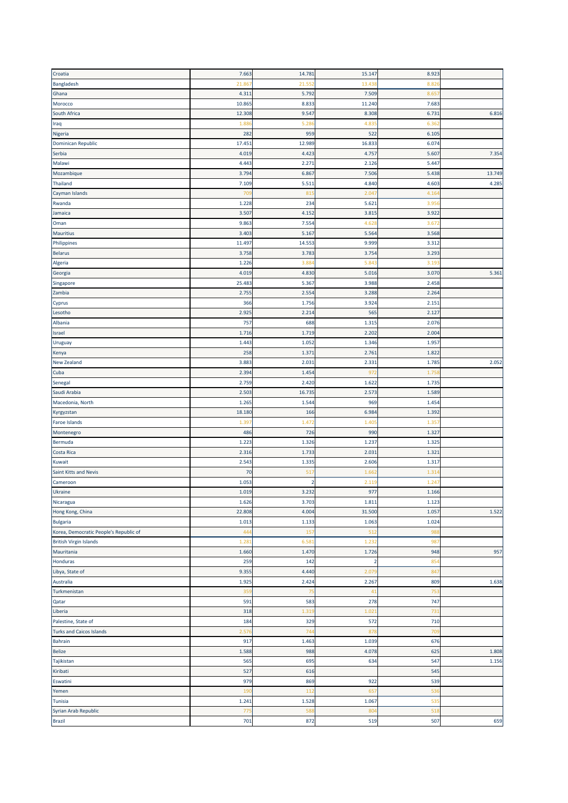| Croatia                                | 7.663  | 14.781            | 15.147         | 8.923             |        |
|----------------------------------------|--------|-------------------|----------------|-------------------|--------|
| Bangladesh                             | 21.86  | 21.55             | 13.43          | 8.82              |        |
| Ghana                                  | 4.311  | 5.792             | 7.509          | 8.65              |        |
| Morocco                                | 10.865 | 8.833             | 11.240         | 7.683             |        |
| South Africa                           | 12.308 | 9.547             | 8.308          | 6.73              | 6.816  |
| Iraq                                   | 1.88   | 5.28              | 4.83           | 6.36              |        |
|                                        |        |                   |                |                   |        |
| Nigeria                                | 282    | 959               | 522            | 6.105             |        |
| <b>Dominican Republic</b>              | 17.451 | 12.989            | 16.833         | 6.074             |        |
| Serbia                                 | 4.019  | 4.423             | 4.757          | 5.60              | 7.354  |
| Malawi                                 | 4.443  | 2.27              | 2.126          | 5.44              |        |
| Mozambique                             | 3.794  | 6.867             | 7.506          | 5.438             | 13.749 |
| Thailand                               | 7.109  | 5.51              | 4.840          | 4.603             | 4.285  |
| Cayman Islands                         | 70     | 81                | 2.047          | 4.16              |        |
| Rwanda                                 | 1.228  | 234               | 5.621          | 3.95              |        |
| Jamaica                                | 3.507  | 4.152             | 3.815          | 3.922             |        |
| Oman                                   | 9.863  | 7.554             | 4.628          | 3.67              |        |
| <b>Mauritius</b>                       | 3.403  | 5.16              | 5.564          | 3.568             |        |
| Philippines                            | 11.497 | 14.553            | 9.999          | 3.312             |        |
| <b>Belarus</b>                         | 3.758  | 3.783             | 3.754          | 3.293             |        |
| Algeria                                | 1.226  | 3.88              | 5.84           | 3.19              |        |
| Georgia                                | 4.019  | 4.830             | 5.016          | 3.07 <sub>0</sub> | 5.361  |
| Singapore                              | 25.483 | 5.367             | 3.988          | 2.458             |        |
| Zambia                                 |        |                   |                |                   |        |
|                                        | 2.755  | 2.554             | 3.288<br>3.924 | 2.264<br>2.151    |        |
| Cyprus                                 | 366    | 1.756             |                |                   |        |
| Lesotho                                | 2.925  | 2.214             | 565            | 2.127             |        |
| Albania                                | 757    | 688               | 1.315          | 2.076             |        |
| Israel                                 | 1.716  | 1.719             | 2.202          | 2.004             |        |
| Uruguay                                | 1.443  | 1.052             | 1.346          | 1.957             |        |
| Kenya                                  | 258    | 1.37 <sub>2</sub> | 2.761          | 1.82              |        |
| New Zealand                            | 3.883  | 2.031             | 2.331          | 1.78              | 2.052  |
| Cuba                                   | 2.394  | 1.454             | 972            | 1.75              |        |
| Senegal                                | 2.759  | 2.420             | 1.622          | 1.735             |        |
| Saudi Arabia                           | 2.503  | 16.73             | 2.573          | 1.589             |        |
| Macedonia, North                       | 1.265  | 1.544             | 969            | 1.454             |        |
| Kyrgyzstan                             | 18.180 | 166               | 6.984          | 1.392             |        |
| Faroe Islands                          | 1.39   | 1.47              | 1.40           | 1.35              |        |
| Montenegro                             | 486    | 726               | 990            | 1.327             |        |
| Bermuda                                | 1.223  | 1.326             | 1.237          | 1.325             |        |
|                                        | 2.316  | 1.733             | 2.031          | 1.321             |        |
| Costa Rica                             |        |                   |                |                   |        |
| Kuwait                                 | 2.543  | 1.335             | 2.606          | 1.317             |        |
| <b>Saint Kitts and Nevis</b>           | 70     | 51                | 1.66           | 1.31              |        |
| Cameroon                               | 1.053  | $\overline{2}$    | 2.11           | 1.24              |        |
| Ukraine                                | 1.019  | 3.232             | 977            | 1.166             |        |
| Nicaragua                              | 1.626  | 3.703             | 1.811          | 1.123             |        |
| Hong Kong, China                       | 22.808 | 4.004             | 31.500         | 1.057             | 1.522  |
| <b>Bulgaria</b>                        | 1.013  | 1.133             | 1.063          | 1.024             |        |
| Korea, Democratic People's Republic of | 444    | 15 <sub>1</sub>   | 512            | 98                |        |
| <b>British Virgin Islands</b>          | 1.281  | 6.58              | 1.232          | 987               |        |
| Mauritania                             | 1.660  | 1.470             | 1.726          | 948               | 957    |
| Honduras                               | 259    | 142               | $\overline{2}$ | 85                |        |
| Libya, State of                        | 9.355  | 4.440             | 2.079          | 847               |        |
| Australia                              | 1.925  | 2.424             | 2.267          | 809               | 1.638  |
| Turkmenistan                           | 359    | 75                | 41             | 753               |        |
| Qatar                                  |        |                   |                |                   |        |
|                                        |        |                   |                |                   |        |
|                                        | 591    | 583               | 278            | 747               |        |
| Liberia                                | 318    | 1.31              | 1.021          | 73:               |        |
| Palestine, State of                    | 184    | 329               | 572            | 710               |        |
| <b>Turks and Caicos Islands</b>        | 2.576  | 744               | 878            | 709               |        |
| Bahrain                                | 917    | 1.463             | 1.039          | 676               |        |
| <b>Belize</b>                          | 1.588  | 988               | 4.078          | 625               | 1.808  |
| Tajikistan                             | 565    | 695               | 634            | 547               | 1.156  |
| Kiribati                               | 527    | 616               |                | 545               |        |
| Eswatini                               | 979    | 869               | 922            | 539               |        |
| Yemen                                  | 190    | 112               | 657            | 536               |        |
| Tunisia                                | 1.241  | 1.528             | 1.067          | 535               |        |
| Syrian Arab Republic                   | 775    | 588               | 804            | 518               |        |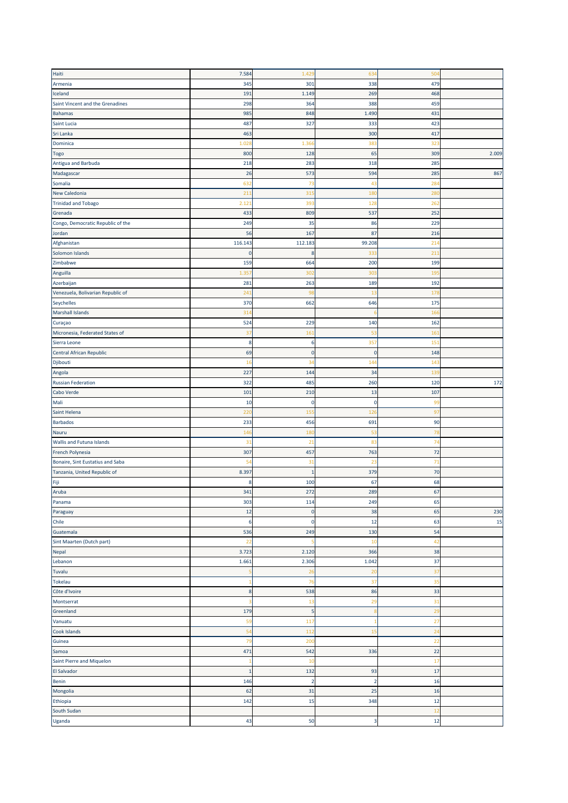| Haiti                             | 7.584           | 1.429          | 634            | 504             |       |
|-----------------------------------|-----------------|----------------|----------------|-----------------|-------|
| Armenia                           | 345             | 301            | 338            | 479             |       |
|                                   |                 |                |                |                 |       |
| Iceland                           | 191             | 1.149          | 269            | 468             |       |
| Saint Vincent and the Grenadines  | 298             | 364            | 388            | 459             |       |
| <b>Bahamas</b>                    | 985             | 848            | 1.490          | 431             |       |
| Saint Lucia                       | 487             | 327            | 333            | 423             |       |
| Sri Lanka                         | 463             |                | 300            | 417             |       |
| Dominica                          | 1.021           | 1.366          | 383            | 323             |       |
| <b>Togo</b>                       | 800             | 128            | 65             | 309             | 2.009 |
| Antigua and Barbuda               | 218             | 283            | 318            | 285             |       |
| Madagascar                        | 26              | 573            | 594            | 285             | 867   |
| Somalia                           | 632             | 73             | 43             | 28 <sub>4</sub> |       |
| New Caledonia                     | 211             | 315            | 180            | 280             |       |
| <b>Trinidad and Tobago</b>        | 2.12            | 393            | 128            | 262             |       |
|                                   |                 |                | 537            | 252             |       |
| Grenada                           | 433             | 809            |                |                 |       |
| Congo, Democratic Republic of the | 249             | 35             | 86             | 229             |       |
| Jordan                            | 56              | 167            | 87             | 216             |       |
| Afghanistan                       | 116.143         | 112.183        | 99.208         | 21 <sub>0</sub> |       |
| Solomon Islands                   | $\mathbf 0$     | 8              | 333            | 21:             |       |
| Zimbabwe                          | 159             | 664            | 200            | 199             |       |
| Anguilla                          | 1.35            | 302            | 303            | 195             |       |
| Azerbaijan                        | 281             | 263            | 189            | 192             |       |
| Venezuela, Bolivarian Republic of | 241             | 98             | 13             | 178             |       |
| Seychelles                        | 370             | 662            | 646            | 175             |       |
| <b>Marshall Islands</b>           | 31 <sup>4</sup> |                |                | 16              |       |
| Curaçao                           | 524             | 229            | 140            | 162             |       |
| Micronesia, Federated States of   | 37              | 161            | 53             | 16 <sub>2</sub> |       |
|                                   |                 |                |                |                 |       |
| Sierra Leone                      | 8               | 6              | 357            | 15 <sub>2</sub> |       |
| Central African Republic          | <b>69</b>       | 0              | $\pmb{0}$      | 148             |       |
| Djibouti                          | 16              | 34             | 144            | 14 <sub>3</sub> |       |
| Angola                            | 227             | 144            | 34             | 139             |       |
| <b>Russian Federation</b>         | 322             | 485            | 260            | 120             | 172   |
| Cabo Verde                        | 101             | 210            | 13             | 107             |       |
| Mali                              | 10              | 0              | $\mathbf 0$    | 99              |       |
| Saint Helena                      | 220             | 155            | 126            | 97              |       |
| <b>Barbados</b>                   | 233             | 456            | 691            | 90              |       |
| Nauru                             | 146             | 180            | 53             | 78              |       |
| <b>Wallis and Futuna Islands</b>  | 31              | 21             | 83             | 74              |       |
| French Polynesia                  | 307             | 457            | 763            | 72              |       |
| Bonaire, Sint Eustatius and Saba  | 54              | 31             | 23             | 71              |       |
|                                   |                 |                |                |                 |       |
| Tanzania, United Republic of      | 8.397           | $\mathbf{1}$   | 379            | 70              |       |
| Fiji                              | 8               | 100            | 67             | 68              |       |
| Aruba                             | 341             | 272            | 289            | 67              |       |
| Panama                            | 303             | 114            | 249            | 65              |       |
| Paraguay                          | 12              | $\mathbf 0$    | 38             | 65              | 230   |
| Chile                             | 6               | 0              | 12             | 63              | 15    |
| Guatemala                         | 536             | 249            | 130            | 54              |       |
| Sint Maarten (Dutch part)         | 22              |                | 10             | 42              |       |
| Nepal                             | 3.723           | 2.120          | 366            | 38              |       |
| Lebanon                           | 1.661           | 2.306          | 1.042          | 37              |       |
| Tuvalu                            |                 | 26             | 20             | 37              |       |
| <b>Tokelau</b>                    |                 | 76             | 37             | 35              |       |
| Côte d'Ivoire                     | 8               | 538            | 86             | 33              |       |
|                                   |                 |                |                |                 |       |
| Montserrat                        |                 | 13             | 29             | 3 <sup>2</sup>  |       |
| Greenland                         | 179             | 5              | 8              | 29              |       |
| Vanuatu                           | 59              | 117            | 1              | 27              |       |
| Cook Islands                      | 54              | 112            | 15             | 2 <sup>2</sup>  |       |
| Guinea                            | 79              | 200            |                | 22              |       |
| Samoa                             | 471             | 542            | 336            | 22              |       |
| Saint Pierre and Miquelon         |                 | 10             |                | 17              |       |
| El Salvador                       | $\mathbf{1}$    | 132            | 93             | 17              |       |
| <b>Benin</b>                      | 146             | $\overline{2}$ | $\overline{2}$ | 16              |       |
| Mongolia                          | 62              | 31             | 25             | 16              |       |
| Ethiopia                          | 142             | 15             | 348            | 12              |       |
| South Sudan                       |                 |                |                | 12              |       |
|                                   |                 |                |                |                 |       |
| Uganda                            | 43              | 50             | 3              | 12              |       |